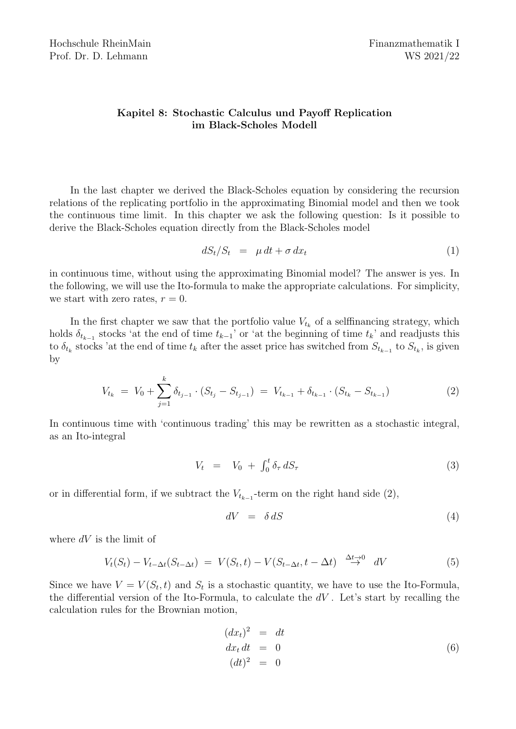# Kapitel 8: Stochastic Calculus und Payoff Replication im Black-Scholes Modell

In the last chapter we derived the Black-Scholes equation by considering the recursion relations of the replicating portfolio in the approximating Binomial model and then we took the continuous time limit. In this chapter we ask the following question: Is it possible to derive the Black-Scholes equation directly from the Black-Scholes model

$$
dS_t/S_t = \mu dt + \sigma dx_t \tag{1}
$$

in continuous time, without using the approximating Binomial model? The answer is yes. In the following, we will use the Ito-formula to make the appropriate calculations. For simplicity, we start with zero rates,  $r = 0$ .

In the first chapter we saw that the portfolio value  $V_{t_k}$  of a selffinancing strategy, which holds  $\delta_{t_{k-1}}$  stocks 'at the end of time  $t_{k-1}$ ' or 'at the beginning of time  $t_k$ ' and readjusts this to  $\delta_{t_k}$  stocks 'at the end of time  $t_k$  after the asset price has switched from  $S_{t_{k-1}}$  to  $S_{t_k}$ , is given by

$$
V_{t_k} = V_0 + \sum_{j=1}^k \delta_{t_{j-1}} \cdot (S_{t_j} - S_{t_{j-1}}) = V_{t_{k-1}} + \delta_{t_{k-1}} \cdot (S_{t_k} - S_{t_{k-1}})
$$
(2)

In continuous time with 'continuous trading' this may be rewritten as a stochastic integral, as an Ito-integral

$$
V_t = V_0 + \int_0^t \delta_\tau \, dS_\tau \tag{3}
$$

or in differential form, if we subtract the  $V_{t_{k-1}}$ -term on the right hand side (2),

$$
dV = \delta \, dS \tag{4}
$$

where  $dV$  is the limit of

$$
V_t(S_t) - V_{t-\Delta t}(S_{t-\Delta t}) = V(S_t, t) - V(S_{t-\Delta t}, t - \Delta t) \stackrel{\Delta t \to 0}{\to} dV
$$
\n
$$
(5)
$$

Since we have  $V = V(S_t, t)$  and  $S_t$  is a stochastic quantity, we have to use the Ito-Formula, the differential version of the Ito-Formula, to calculate the  $dV$ . Let's start by recalling the calculation rules for the Brownian motion,

$$
(dxt)2 = dtdxt dt = 0(dt)2 = 0
$$
 (6)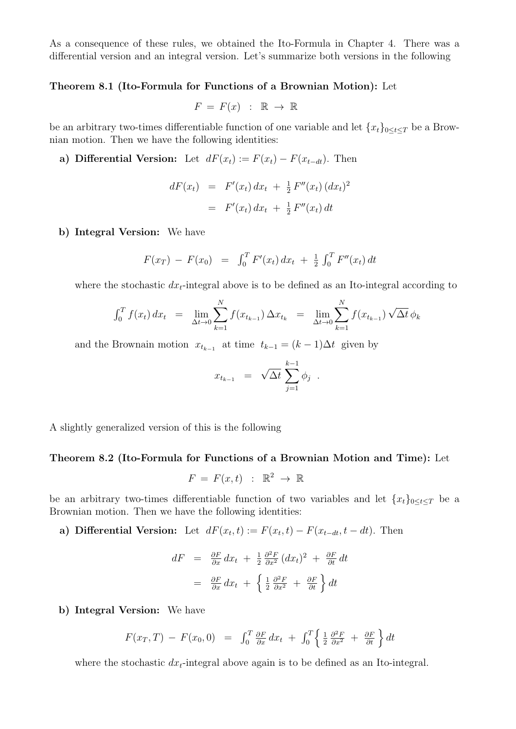As a consequence of these rules, we obtained the Ito-Formula in Chapter 4. There was a differential version and an integral version. Let's summarize both versions in the following

### Theorem 8.1 (Ito-Formula for Functions of a Brownian Motion): Let

$$
F = F(x) : \mathbb{R} \to \mathbb{R}
$$

be an arbitrary two-times differentiable function of one variable and let  ${x_t}_{0 \le t \le T}$  be a Brownian motion. Then we have the following identities:

a) Differential Version: Let  $dF(x_t) := F(x_t) - F(x_{t-dt})$ . Then

$$
dF(x_t) = F'(x_t) dx_t + \frac{1}{2} F''(x_t) (dx_t)^2
$$
  
=  $F'(x_t) dx_t + \frac{1}{2} F''(x_t) dt$ 

### b) Integral Version: We have

$$
F(x_T) - F(x_0) = \int_0^T F'(x_t) dx_t + \frac{1}{2} \int_0^T F''(x_t) dt
$$

where the stochastic  $dx_t$ -integral above is to be defined as an Ito-integral according to

$$
\int_0^T f(x_t) dx_t = \lim_{\Delta t \to 0} \sum_{k=1}^N f(x_{t_{k-1}}) \Delta x_{t_k} = \lim_{\Delta t \to 0} \sum_{k=1}^N f(x_{t_{k-1}}) \sqrt{\Delta t} \phi_k
$$

and the Brownain motion  $x_{t_{k-1}}$  at time  $t_{k-1} = (k-1)\Delta t$  given by

$$
x_{t_{k-1}} = \sqrt{\Delta t} \sum_{j=1}^{k-1} \phi_j.
$$

A slightly generalized version of this is the following

#### Theorem 8.2 (Ito-Formula for Functions of a Brownian Motion and Time): Let

$$
F = F(x, t) : \mathbb{R}^2 \to \mathbb{R}
$$

be an arbitrary two-times differentiable function of two variables and let  ${x_t}_{0 \leq t \leq T}$  be a Brownian motion. Then we have the following identities:

a) Differential Version: Let  $dF(x_t,t) := F(x_t,t) - F(x_{t-dt}, t-dt)$ . Then

$$
dF = \frac{\partial F}{\partial x} dx_t + \frac{1}{2} \frac{\partial^2 F}{\partial x^2} (dx_t)^2 + \frac{\partial F}{\partial t} dt
$$
  

$$
= \frac{\partial F}{\partial x} dx_t + \left\{ \frac{1}{2} \frac{\partial^2 F}{\partial x^2} + \frac{\partial F}{\partial t} \right\} dt
$$

# b) Integral Version: We have

$$
F(x_T, T) - F(x_0, 0) = \int_0^T \frac{\partial F}{\partial x} dx_t + \int_0^T \left\{ \frac{1}{2} \frac{\partial^2 F}{\partial x^2} + \frac{\partial F}{\partial t} \right\} dt
$$

where the stochastic  $dx_t$ -integral above again is to be defined as an Ito-integral.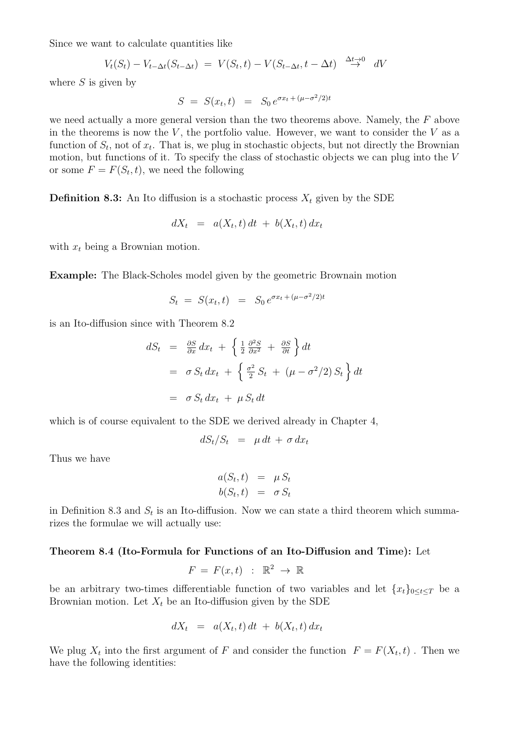Since we want to calculate quantities like

$$
V_t(S_t) - V_{t-\Delta t}(S_{t-\Delta t}) = V(S_t, t) - V(S_{t-\Delta t}, t - \Delta t) \stackrel{\Delta t \to 0}{\to} dV
$$

where  $S$  is given by

$$
S = S(x_t, t) = S_0 e^{\sigma x_t + (\mu - \sigma^2/2)t}
$$

we need actually a more general version than the two theorems above. Namely, the  $F$  above in the theorems is now the  $V$ , the portfolio value. However, we want to consider the  $V$  as a function of  $S_t$ , not of  $x_t$ . That is, we plug in stochastic objects, but not directly the Brownian motion, but functions of it. To specify the class of stochastic objects we can plug into the V or some  $F = F(S_t, t)$ , we need the following

**Definition 8.3:** An Ito diffusion is a stochastic process  $X_t$  given by the SDE

$$
dX_t = a(X_t, t) dt + b(X_t, t) dx_t
$$

with  $x_t$  being a Brownian motion.

Example: The Black-Scholes model given by the geometric Brownain motion

$$
S_t = S(x_t, t) = S_0 e^{\sigma x_t + (\mu - \sigma^2/2)t}
$$

is an Ito-diffusion since with Theorem 8.2

$$
dS_t = \frac{\partial S}{\partial x} dx_t + \left\{ \frac{1}{2} \frac{\partial^2 S}{\partial x^2} + \frac{\partial S}{\partial t} \right\} dt
$$
  
=  $\sigma S_t dx_t + \left\{ \frac{\sigma^2}{2} S_t + (\mu - \sigma^2 / 2) S_t \right\} dt$   
=  $\sigma S_t dx_t + \mu S_t dt$ 

which is of course equivalent to the SDE we derived already in Chapter 4,

$$
dS_t/S_t = \mu dt + \sigma dx_t
$$

Thus we have

$$
a(S_t, t) = \mu S_t
$$
  

$$
b(S_t, t) = \sigma S_t
$$

in Definition 8.3 and  $S_t$  is an Ito-diffusion. Now we can state a third theorem which summarizes the formulae we will actually use:

### Theorem 8.4 (Ito-Formula for Functions of an Ito-Diffusion and Time): Let

$$
F = F(x, t) : \mathbb{R}^2 \to \mathbb{R}
$$

be an arbitrary two-times differentiable function of two variables and let  ${x_t}_{0 \le t \le T}$  be a Brownian motion. Let  $X_t$  be an Ito-diffusion given by the SDE

$$
dX_t = a(X_t, t) dt + b(X_t, t) dx_t
$$

We plug  $X_t$  into the first argument of F and consider the function  $F = F(X_t, t)$ . Then we have the following identities: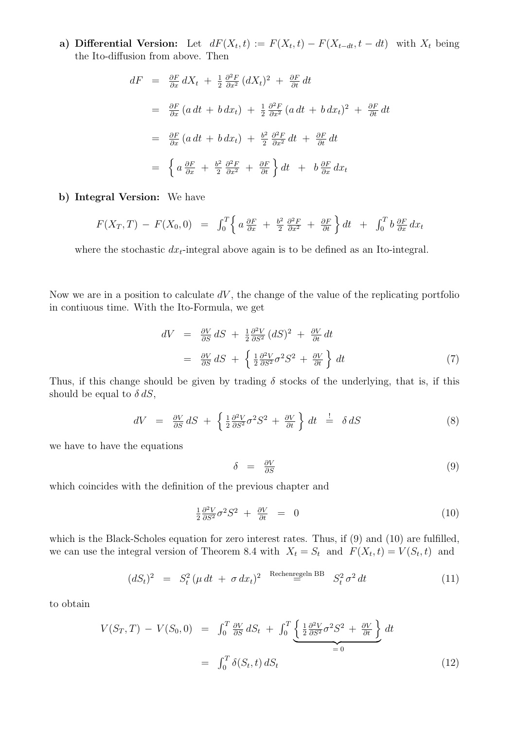**a)** Differential Version: Let  $dF(X_t, t) := F(X_t, t) - F(X_{t-dt}, t-dt)$  with  $X_t$  being the Ito-diffusion from above. Then

$$
dF = \frac{\partial F}{\partial x} dX_t + \frac{1}{2} \frac{\partial^2 F}{\partial x^2} (dX_t)^2 + \frac{\partial F}{\partial t} dt
$$
  
\n
$$
= \frac{\partial F}{\partial x} (a dt + b dx_t) + \frac{1}{2} \frac{\partial^2 F}{\partial x^2} (a dt + b dx_t)^2 + \frac{\partial F}{\partial t} dt
$$
  
\n
$$
= \frac{\partial F}{\partial x} (a dt + b dx_t) + \frac{b^2}{2} \frac{\partial^2 F}{\partial x^2} dt + \frac{\partial F}{\partial t} dt
$$
  
\n
$$
= \left\{ a \frac{\partial F}{\partial x} + \frac{b^2}{2} \frac{\partial^2 F}{\partial x^2} + \frac{\partial F}{\partial t} \right\} dt + b \frac{\partial F}{\partial x} dx_t
$$

## b) Integral Version: We have

$$
F(X_T, T) - F(X_0, 0) = \int_0^T \left\{ a \frac{\partial F}{\partial x} + \frac{b^2}{2} \frac{\partial^2 F}{\partial x^2} + \frac{\partial F}{\partial t} \right\} dt + \int_0^T b \frac{\partial F}{\partial x} dx_t
$$

where the stochastic  $dx_t$ -integral above again is to be defined as an Ito-integral.

Now we are in a position to calculate  $dV$ , the change of the value of the replicating portfolio in contiuous time. With the Ito-Formula, we get

$$
dV = \frac{\partial V}{\partial S} dS + \frac{1}{2} \frac{\partial^2 V}{\partial S^2} (dS)^2 + \frac{\partial V}{\partial t} dt
$$
  
=  $\frac{\partial V}{\partial S} dS + \left\{ \frac{1}{2} \frac{\partial^2 V}{\partial S^2} \sigma^2 S^2 + \frac{\partial V}{\partial t} \right\} dt$  (7)

Thus, if this change should be given by trading  $\delta$  stocks of the underlying, that is, if this should be equal to  $\delta dS$ ,

$$
dV = \frac{\partial V}{\partial S} dS + \left\{ \frac{1}{2} \frac{\partial^2 V}{\partial S^2} \sigma^2 S^2 + \frac{\partial V}{\partial t} \right\} dt \stackrel{!}{=} \delta dS \tag{8}
$$

we have to have the equations

$$
\delta = \frac{\partial V}{\partial S} \tag{9}
$$

which coincides with the definition of the previous chapter and

$$
\frac{1}{2} \frac{\partial^2 V}{\partial S^2} \sigma^2 S^2 + \frac{\partial V}{\partial t} = 0 \tag{10}
$$

which is the Black-Scholes equation for zero interest rates. Thus, if (9) and (10) are fulfilled, we can use the integral version of Theorem 8.4 with  $X_t = S_t$  and  $F(X_t, t) = V(S_t, t)$  and

$$
(dS_t)^2 = S_t^2 (\mu dt + \sigma dx_t)^2 \stackrel{\text{Rechenregeln BB}}{=} S_t^2 \sigma^2 dt \qquad (11)
$$

to obtain

$$
V(S_T, T) - V(S_0, 0) = \int_0^T \frac{\partial V}{\partial S} dS_t + \int_0^T \underbrace{\left\{ \frac{1}{2} \frac{\partial^2 V}{\partial S^2} \sigma^2 S^2 + \frac{\partial V}{\partial t} \right\}}_{= 0} dt
$$
  
= 
$$
\int_0^T \delta(S_t, t) dS_t
$$
 (12)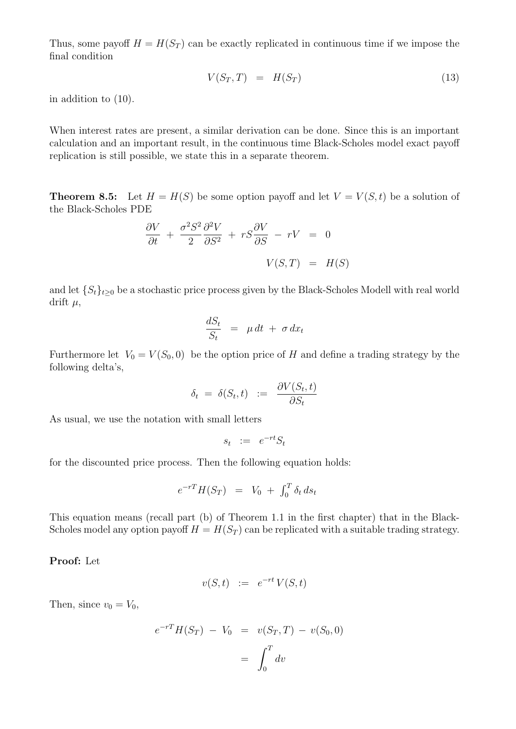Thus, some payoff  $H = H(S_T)$  can be exactly replicated in continuous time if we impose the final condition

$$
V(S_T, T) = H(S_T) \tag{13}
$$

in addition to (10).

When interest rates are present, a similar derivation can be done. Since this is an important calculation and an important result, in the continuous time Black-Scholes model exact payoff replication is still possible, we state this in a separate theorem.

**Theorem 8.5:** Let  $H = H(S)$  be some option payoff and let  $V = V(S, t)$  be a solution of the Black-Scholes PDE

$$
\frac{\partial V}{\partial t} + \frac{\sigma^2 S^2}{2} \frac{\partial^2 V}{\partial S^2} + rS \frac{\partial V}{\partial S} - rV = 0
$$
  

$$
V(S,T) = H(S)
$$

and let  $\{S_t\}_{t\geq 0}$  be a stochastic price process given by the Black-Scholes Modell with real world drift  $\mu$ ,

$$
\frac{dS_t}{S_t} = \mu dt + \sigma dx_t
$$

Furthermore let  $V_0 = V(S_0, 0)$  be the option price of H and define a trading strategy by the following delta's,

$$
\delta_t = \delta(S_t, t) := \frac{\partial V(S_t, t)}{\partial S_t}
$$

As usual, we use the notation with small letters

$$
s_t \ := \ e^{-rt} S_t
$$

for the discounted price process. Then the following equation holds:

$$
e^{-rT}H(S_T) = V_0 + \int_0^T \delta_t ds_t
$$

This equation means (recall part (b) of Theorem 1.1 in the first chapter) that in the Black-Scholes model any option payoff  $H = H(S_T)$  can be replicated with a suitable trading strategy.

#### Proof: Let

$$
v(S,t) \quad := \quad e^{-rt} \, V(S,t)
$$

Then, since  $v_0 = V_0$ ,

$$
e^{-rT}H(S_T) - V_0 = v(S_T, T) - v(S_0, 0)
$$

$$
= \int_0^T dv
$$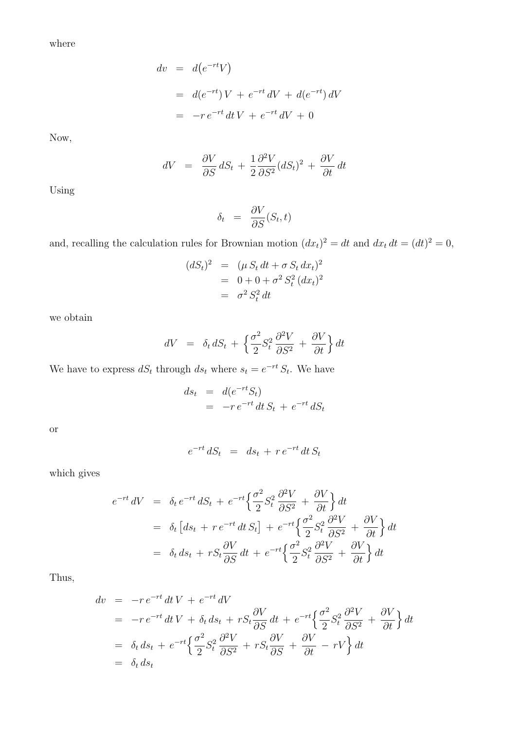where

$$
dv = d(e^{-rt}V)
$$
  
= 
$$
d(e^{-rt})V + e^{-rt}dV + d(e^{-rt})dV
$$
  
= 
$$
-re^{-rt}dtV + e^{-rt}dV + 0
$$

Now,

$$
dV = \frac{\partial V}{\partial S} dS_t + \frac{1}{2} \frac{\partial^2 V}{\partial S^2} (dS_t)^2 + \frac{\partial V}{\partial t} dt
$$

Using

$$
\delta_t = \frac{\partial V}{\partial S}(S_t, t)
$$

and, recalling the calculation rules for Brownian motion  $(dx_t)^2 = dt$  and  $dx_t dt = (dt)^2 = 0$ ,

$$
(dS_t)^2 = (\mu S_t dt + \sigma S_t dx_t)^2
$$
  
= 0 + 0 +  $\sigma^2 S_t^2 (dx_t)^2$   
=  $\sigma^2 S_t^2 dt$ 

we obtain

$$
dV = \delta_t dS_t + \left\{ \frac{\sigma^2}{2} S_t^2 \frac{\partial^2 V}{\partial S^2} + \frac{\partial V}{\partial t} \right\} dt
$$

We have to express  $dS_t$  through  $ds_t$  where  $s_t = e^{-rt} S_t$ . We have

$$
ds_t = d(e^{-rt}S_t)
$$
  
=  $-re^{-rt}dt S_t + e^{-rt}dS_t$ 

or

$$
e^{-rt} dS_t = ds_t + r e^{-rt} dt S_t
$$

which gives

$$
e^{-rt} dV = \delta_t e^{-rt} dS_t + e^{-rt} \left\{ \frac{\sigma^2}{2} S_t^2 \frac{\partial^2 V}{\partial S^2} + \frac{\partial V}{\partial t} \right\} dt
$$
  

$$
= \delta_t \left[ ds_t + r e^{-rt} dt S_t \right] + e^{-rt} \left\{ \frac{\sigma^2}{2} S_t^2 \frac{\partial^2 V}{\partial S^2} + \frac{\partial V}{\partial t} \right\} dt
$$
  

$$
= \delta_t ds_t + r S_t \frac{\partial V}{\partial S} dt + e^{-rt} \left\{ \frac{\sigma^2}{2} S_t^2 \frac{\partial^2 V}{\partial S^2} + \frac{\partial V}{\partial t} \right\} dt
$$

Thus,

$$
dv = -re^{-rt} dt V + e^{-rt} dV
$$
  
\n
$$
= -re^{-rt} dt V + \delta_t ds_t + rS_t \frac{\partial V}{\partial S} dt + e^{-rt} \left\{ \frac{\sigma^2}{2} S_t^2 \frac{\partial^2 V}{\partial S^2} + \frac{\partial V}{\partial t} \right\} dt
$$
  
\n
$$
= \delta_t ds_t + e^{-rt} \left\{ \frac{\sigma^2}{2} S_t^2 \frac{\partial^2 V}{\partial S^2} + rS_t \frac{\partial V}{\partial S} + \frac{\partial V}{\partial t} - rV \right\} dt
$$
  
\n
$$
= \delta_t ds_t
$$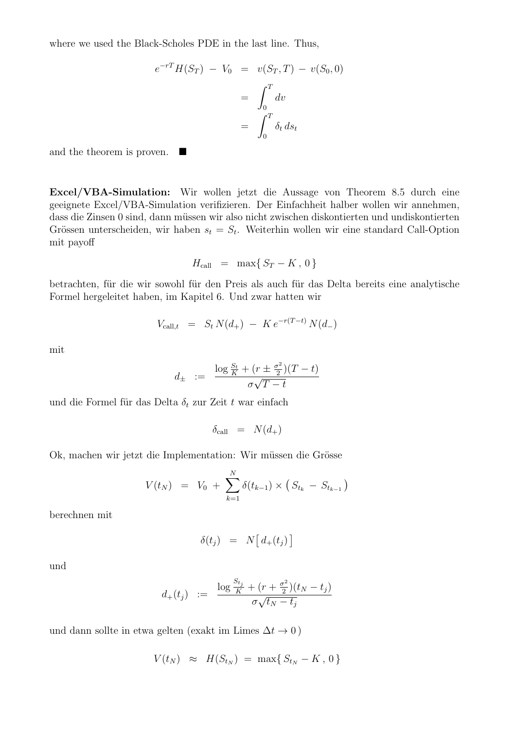where we used the Black-Scholes PDE in the last line. Thus,

$$
e^{-rT}H(S_T) - V_0 = v(S_T, T) - v(S_0, 0)
$$

$$
= \int_0^T dv
$$

$$
= \int_0^T \delta_t ds_t
$$

and the theorem is proven. ■

Excel/VBA-Simulation: Wir wollen jetzt die Aussage von Theorem 8.5 durch eine geeignete Excel/VBA-Simulation verifizieren. Der Einfachheit halber wollen wir annehmen, dass die Zinsen 0 sind, dann müssen wir also nicht zwischen diskontierten und undiskontierten Grössen unterscheiden, wir haben  $s_t = S_t$ . Weiterhin wollen wir eine standard Call-Option mit payoff

$$
H_{\text{call}} = \max\{S_T - K, 0\}
$$

betrachten, für die wir sowohl für den Preis als auch für das Delta bereits eine analytische Formel hergeleitet haben, im Kapitel 6. Und zwar hatten wir

$$
V_{\text{call},t} = S_t N(d_+) - K e^{-r(T-t)} N(d_-)
$$

mit

$$
d_{\pm} := \frac{\log \frac{S_t}{K} + (r \pm \frac{\sigma^2}{2})(T - t)}{\sigma\sqrt{T - t}}
$$

und die Formel für das Delta  $\delta_t$  zur Zeit t war einfach

$$
\delta_{\text{call}} = N(d_+)
$$

Ok, machen wir jetzt die Implementation: Wir müssen die Grösse

$$
V(t_N) = V_0 + \sum_{k=1}^{N} \delta(t_{k-1}) \times (S_{t_k} - S_{t_{k-1}})
$$

berechnen mit

$$
\delta(t_j) = N\big[d_+(t_j)\big]
$$

und

$$
d_{+}(t_{j}) \ \ := \ \ \frac{\log \frac{S_{t_{j}}}{K} + (r + \frac{\sigma^{2}}{2})(t_{N} - t_{j})}{\sigma\sqrt{t_{N} - t_{j}}}
$$

und dann sollte in etwa gelten (exakt im Limes  $\Delta t \to 0$ )

$$
V(t_N) \approx H(S_{t_N}) = \max\{S_{t_N} - K, 0\}
$$